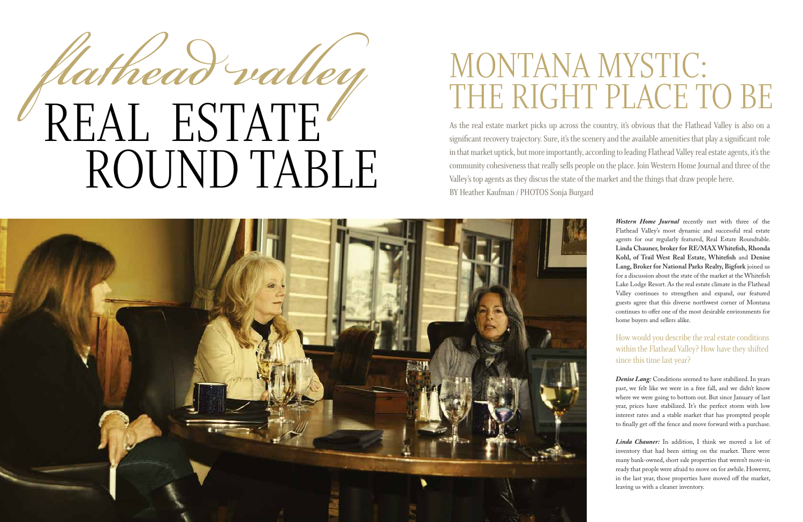As the real estate market picks up across the country, it's obvious that the Flathead Valley is also on a significant recovery trajectory. Sure, it's the scenery and the available amenities that play a significant role in that market uptick, but more importantly, according to leading Flathead Valley real estate agents, it's the community cohesiveness that really sells people on the place. Join Western Home Journal and three of the Valley's top agents as they discus the state of the market and the things that draw people here. BY Heather Kaufman / PHOTOS Sonja Burgard



# MONTANA MYSTIC: THE RIGHT PLACE TO BE

*Western Home Journal* recently met with three of the Flathead Valley's most dynamic and successful real estate agents for our regularly featured, Real Estate Roundtable. **Linda Chauner, broker for RE/MAX Whitefish, Rhonda Kohl, of Trail West Real Estate, Whitefish** and **Denise Lang, Broker for National Parks Realty, Bigfork** joined us for a discussion about the state of the market at the Whitefish Lake Lodge Resort. As the real estate climate in the Flathead Valley continues to strengthen and expand, our featured guests agree that this diverse northwest corner of Montana continues to offer one of the most desirable environments for home buyers and sellers alike.



How would you describe the real estate conditions within the Flathead Valley? How have they shifted since this time last year?

*Denise Lang:* Conditions seemed to have stabilized. In years past, we felt like we were in a free fall, and we didn't know where we were going to bottom out. But since January of last year, prices have stabilized. It's the perfect storm with low interest rates and a stable market that has prompted people to finally get off the fence and move forward with a purchase.

*Linda Chauner:* In addition, I think we moved a lot of inventory that had been sitting on the market. There were many bank-owned, short sale properties that weren't move-in ready that people were afraid to move on for awhile. However, in the last year, those properties have moved off the market, leaving us with a cleaner inventory.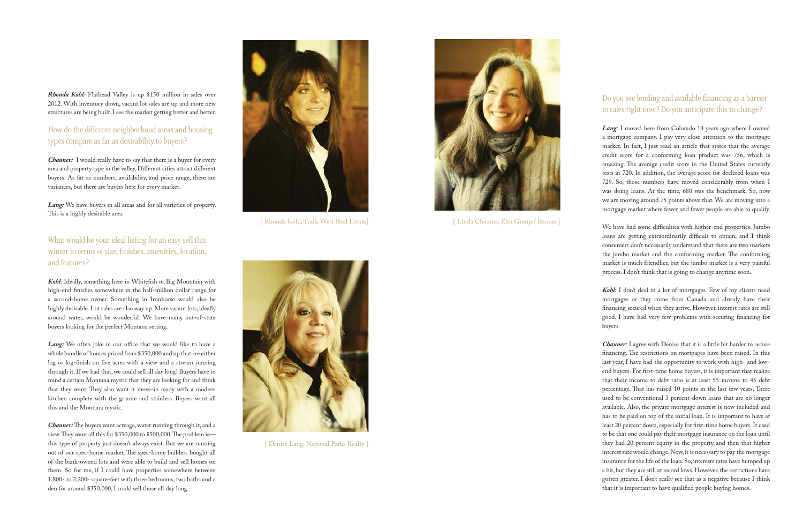## Do you see lending and available financing as a barrier to sales right now? Do you anticipate this to change?

*Lang:* I moved here from Colorado 14 years ago where I owned a mortgage company. I pay very close attention to the mortgage market. In fact, I just read an article that states that the average credit score for a conforming loan product was 756, which is amazing. The average credit score in the United States currently rests at 720. In addition, the average score for declined loans was 729. So, those numbers have moved considerably from when I was doing loans. At the time, 680 was the benchmark. So, now we are moving around 75 points above that. We are moving into a mortgage market where fewer and fewer people are able to qualify.

Kohl: I don't deal in a lot of mortgages. Few of my clients need mortgages or they come from Canada and already have their financing secured when they arrive. However, interest rates are still good. I have had very few problems with securing financing for buyers.

We have had some difficulties with higher-end properties. Jumbo loans are getting extraordinarily difficult to obtain, and I think consumers don't necessarily understand that there are two markets the jumbo market and the conforming market. The conforming market is much friendlier, but the jumbo market is a very painful process. I don't think that is going to change anytime soon.

*Chauner:* I agree with Denise that it is a little bit harder to secure financing. The restrictions on mortgages have been raised. In this last year, I have had the opportunity to work with high- and lowend buyers. For first-time home buyers, it is important that realize that their income to debt ratio is at least 55 income to 45 debt percentage. That has raised 10 points in the last few years. There used to be conventional 3 percent-down loans that are no longer available. Also, the private mortgage interest is now included and has to be paid on top of the initial loan. It is important to have at least 20 percent down, especially for first-time home buyers. It used to be that one could pay their mortgage insurance on the loan until they had 20 percent equity in the property and then that higher interest rate would change. Now, it is necessary to pay the mortgage insurance for the life of the loan. So, interests rates have bumped up a bit, but they are still at record lows. However, the restrictions have gotten greater. I don't really see that as a negative because I think that it is important to have qualified people buying homes.

*Rhonda Kohl:* Flathead Valley is up \$150 million in sales over 2012. With inventory down, vacant lot sales are up and more new structures are being built. I see the market getting better and better.

## How do the different neighborhood areas and housing types compare as far as desirability to buyers?

*Chauner:* I would really have to say that there is a buyer for every area and property type in the valley. Different cities attract different buyers. As far as numbers, availability, and price range, there are variances, but there are buyers here for every market.

*Lang:* We have buyers in all areas and for all varieties of property. This is a highly desirable area.

What would be your ideal listing for an easy sell this winter in terms of size, finishes, amenities, location, and features?

*Kohl:* Ideally, something here in Whitefish or Big Mountain with high-end finishes somewhere in the half-million dollar range for a second-home owner. Something in Ironhorse would also be highly desirable. Lot sales are also way up. More vacant lots, ideally around water, would be wonderful. We have many out-of-state buyers looking for the perfect Montana setting.

*Lang:* We often joke in our office that we would like to have a whole bundle of houses priced from \$350,000 and up that are either log or log-finish on five acres with a view and a stream running through it. If we had that, we could sell all day long! Buyers have in mind a certain Montana mystic that they are looking for and think that they want. They also want it move-in ready with a modern kitchen complete with the granite and stainless. Buyers want all this and the Montana mystic.

*Chauner:* The buyers want acreage, water running through it, and a view. They want all this for \$350,000 to \$500,000. The problem is this type of property just doesn't always exist. But we are running out of our spec-home market. The spec-home builders bought all of the bank-owned lots and were able to build and sell homes on them. So for me, if I could have properties somewhere between 1,800- to 2,200- square-feet with three bedrooms, two baths and a den for around \$350,000, I could sell those all day long.



[ Denise Lang, National Parks Realty ]

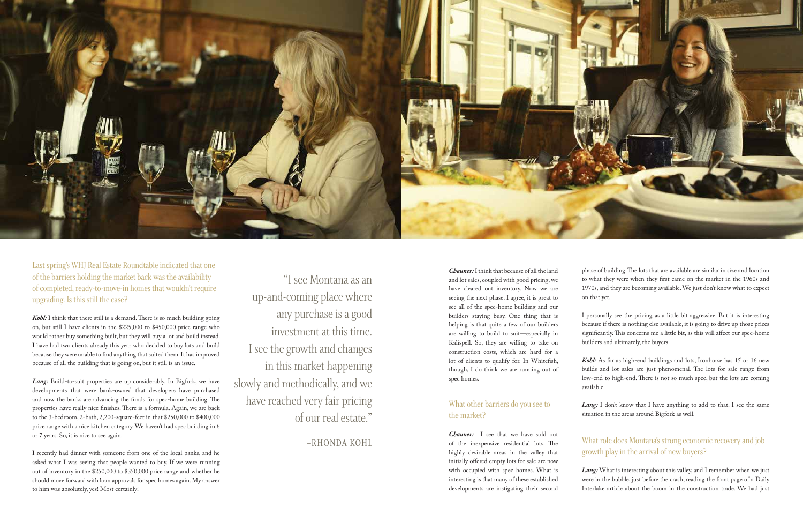

Last spring's WHJ Real Estate Roundtable indicated that one of the barriers holding the market back was the availability of completed, ready-to-move-in homes that wouldn't require upgrading. Is this still the case?

*Kohl:* I think that there still is a demand. There is so much building going on, but still I have clients in the \$225,000 to \$450,000 price range who would rather buy something built, but they will buy a lot and build instead. I have had two clients already this year who decided to buy lots and build because they were unable to find anything that suited them. It has improved because of all the building that is going on, but it still is an issue.

Lang: Build-to-suit properties are up considerably. In Bigfork, we have developments that were bank-owned that developers have purchased and now the banks are advancing the funds for spec-home building. The properties have really nice finishes. There is a formula. Again, we are back to the 3-bedroom, 2-bath, 2,200-square-feet in that \$250,000 to \$400,000 price range with a nice kitchen category. We haven't had spec building in 6 or 7 years. So, it is nice to see again.

I recently had dinner with someone from one of the local banks, and he asked what I was seeing that people wanted to buy. If we were running out of inventory in the \$250,000 to \$350,000 price range and whether he should move forward with loan approvals for spec homes again. My answer to him was absolutely, yes! Most certainly!

"I see Montana as an up-and-coming place where any purchase is a good investment at this time. I see the growth and changes in this market happening slowly and methodically, and we have reached very fair pricing of our real estate."

–RHONDA KOHL

Lang: I don't know that I have anything to add to that. I see the same situation in the areas around Bigfork as well.

*Lang*: What is interesting about this valley, and I remember when we just were in the bubble, just before the crash, reading the front page of a Daily Interlake article about the boom in the construction trade. We had just

*Chauner:* I think that because of all the land and lot sales, coupled with good pricing, we have cleared out inventory. Now we are seeing the next phase. I agree, it is great to see all of the spec-home building and our builders staying busy. One thing that is helping is that quite a few of our builders are willing to build to suit—especially in Kalispell. So, they are willing to take on construction costs, which are hard for a lot of clients to qualify for. In Whitefish, though, I do think we are running out of spec homes.

## What other barriers do you see to the market?

*Chauner:* I see that we have sold out of the inexpensive residential lots. The highly desirable areas in the valley that initially offered empty lots for sale are now with occupied with spec homes. What is interesting is that many of these established developments are instigating their second phase of building. The lots that are available are similar in size and location to what they were when they first came on the market in the 1960s and 1970s, and they are becoming available. We just don't know what to expect on that yet.

I personally see the pricing as a little bit aggressive. But it is interesting because if there is nothing else available, it is going to drive up those prices significantly. This concerns me a little bit, as this will affect our spec-home builders and ultimately, the buyers.

*Kohl:* As far as high-end buildings and lots, Ironhorse has 15 or 16 new builds and lot sales are just phenomenal. The lots for sale range from low-end to high-end. There is not so much spec, but the lots are coming

available.

#### What role does Montana's strong economic recovery and job growth play in the arrival of new buyers?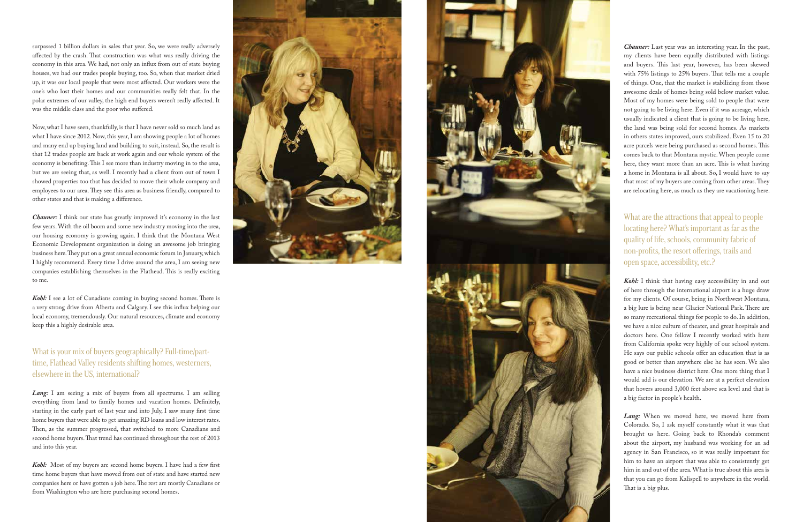surpassed 1 billion dollars in sales that year. So, we were really adversely affected by the crash. That construction was what was really driving the economy in this area. We had, not only an influx from out of state buying houses, we had our trades people buying, too. So, when that market dried up, it was our local people that were most affected. Our workers were the one's who lost their homes and our communities really felt that. In the polar extremes of our valley, the high end buyers weren't really affected. It was the middle class and the poor who suffered.

**Chauner:** I think our state has greatly improved it's economy in the last few years. With the oil boom and some new industry moving into the area, our housing economy is growing again. I think that the Montana West Economic Development organization is doing an awesome job bringing business here. They put on a great annual economic forum in January, which I highly recommend. Every time I drive around the area, I am seeing new companies establishing themselves in the Flathead. This is really exciting to me.

Now, what I have seen, thankfully, is that I have never sold so much land as what I have since 2012. Now, this year, I am showing people a lot of homes and many end up buying land and building to suit, instead. So, the result is that 12 trades people are back at work again and our whole system of the economy is benefiting. This I see more than industry moving in to the area, but we are seeing that, as well. I recently had a client from out of town I showed properties too that has decided to move their whole company and employees to our area. They see this area as business friendly, compared to other states and that is making a difference.

Lang: I am seeing a mix of buyers from all spectrums. I am selling everything from land to family homes and vacation homes. Definitely, starting in the early part of last year and into July, I saw many first time home buyers that were able to get amazing RD loans and low interest rates. Then, as the summer progressed, that switched to more Canadians and second home buyers. That trend has continued throughout the rest of 2013 and into this year.

*Kohl:* I see a lot of Canadians coming in buying second homes. There is a very strong drive from Alberta and Calgary. I see this influx helping our local economy, tremendously. Our natural resources, climate and economy keep this a highly desirable area.

What is your mix of buyers geographically? Full-time/parttime, Flathead Valley residents shifting homes, westerners, elsewhere in the US, international?

*Kohl:* Most of my buyers are second home buyers. I have had a few first time home buyers that have moved from out of state and have started new companies here or have gotten a job here. The rest are mostly Canadians or from Washington who are here purchasing second homes.





*Chauner:* Last year was an interesting year. In the past, my clients have been equally distributed with listings and buyers. This last year, however, has been skewed with 75% listings to 25% buyers. That tells me a couple of things. One, that the market is stabilizing from those awesome deals of homes being sold below market value. Most of my homes were being sold to people that were not going to be living here. Even if it was acreage, which usually indicated a client that is going to be living here, the land was being sold for second homes. As markets in others states improved, ours stabilized. Even 15 to 20 acre parcels were being purchased as second homes. This comes back to that Montana mystic. When people come here, they want more than an acre. This is what having a home in Montana is all about. So, I would have to say that most of my buyers are coming from other areas. They are relocating here, as much as they are vacationing here.

What are the attractions that appeal to people locating here? What's important as far as the quality of life, schools, community fabric of non-profits, the resort offerings, trails and open space, accessibility, etc.?

*Kohl:* I think that having easy accessibility in and out of here through the international airport is a huge draw for my clients. Of course, being in Northwest Montana, a big lure is being near Glacier National Park. There are so many recreational things for people to do. In addition, we have a nice culture of theater, and great hospitals and doctors here. One fellow I recently worked with here from California spoke very highly of our school system. He says our public schools offer an education that is as good or better than anywhere else he has seen. We also have a nice business district here. One more thing that I would add is our elevation. We are at a perfect elevation that hovers around 3,000 feet above sea level and that is a big factor in people's health.

*Lang:* When we moved here, we moved here from Colorado. So, I ask myself constantly what it was that brought us here. Going back to Rhonda's comment about the airport, my husband was working for an ad agency in San Francisco, so it was really important for him to have an airport that was able to consistently get him in and out of the area. What is true about this area is that you can go from Kalispell to anywhere in the world. That is a big plus.